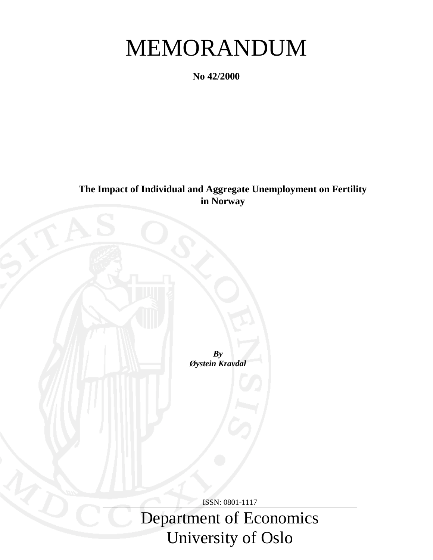# MEMORANDUM

**No 42/2000**

**The Impact of Individual and Aggregate Unemployment on Fertility in Norway**

> *By Øystein Kravdal*

> > ISSN: 0801-1117

Department of Economics University of Oslo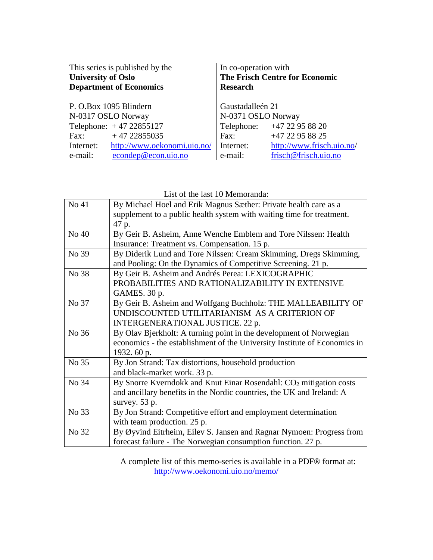| This series is published by the<br><b>University of Oslo</b><br><b>Department of Economics</b> | In co-operation with<br><b>The Frisch Centre for Economic</b><br><b>Research</b> |                            |  |  |
|------------------------------------------------------------------------------------------------|----------------------------------------------------------------------------------|----------------------------|--|--|
| P. O.Box 1095 Blindern                                                                         | Gaustadalleén 21                                                                 |                            |  |  |
| N-0317 OSLO Norway                                                                             | N-0371 OSLO Norway                                                               |                            |  |  |
| Telephone: $+4722855127$                                                                       |                                                                                  | Telephone: +47 22 95 88 20 |  |  |
| $+4722855035$<br>Fax:                                                                          | Fax:                                                                             | +47 22 95 88 25            |  |  |
| http://www.oekonomi.uio.no/<br>Internet:                                                       | Internet:                                                                        | http://www.frisch.uio.no/  |  |  |
| econdep@econ.uio.no<br>e-mail:                                                                 | e-mail:                                                                          | frisch@frisch.uio.no       |  |  |

List of the last 10 Memoranda:

| No 41 | By Michael Hoel and Erik Magnus Sæther: Private health care as a               |
|-------|--------------------------------------------------------------------------------|
|       | supplement to a public health system with waiting time for treatment.          |
|       | 47 p.                                                                          |
| No 40 | By Geir B. Asheim, Anne Wenche Emblem and Tore Nilssen: Health                 |
|       | Insurance: Treatment vs. Compensation. 15 p.                                   |
| No 39 | By Diderik Lund and Tore Nilssen: Cream Skimming, Dregs Skimming,              |
|       | and Pooling: On the Dynamics of Competitive Screening. 21 p.                   |
| No 38 | By Geir B. Asheim and Andrés Perea: LEXICOGRAPHIC                              |
|       | PROBABILITIES AND RATIONALIZABILITY IN EXTENSIVE                               |
|       | GAMES. 30 p.                                                                   |
| No 37 | By Geir B. Asheim and Wolfgang Buchholz: THE MALLEABILITY OF                   |
|       | UNDISCOUNTED UTILITARIANISM AS A CRITERION OF                                  |
|       | INTERGENERATIONAL JUSTICE. 22 p.                                               |
| No 36 | By Olav Bjerkholt: A turning point in the development of Norwegian             |
|       | economics - the establishment of the University Institute of Economics in      |
|       | 1932. 60 p.                                                                    |
| No 35 | By Jon Strand: Tax distortions, household production                           |
|       | and black-market work. 33 p.                                                   |
| No 34 | By Snorre Kverndokk and Knut Einar Rosendahl: CO <sub>2</sub> mitigation costs |
|       | and ancillary benefits in the Nordic countries, the UK and Ireland: A          |
|       | survey. 53 p.                                                                  |
| No 33 | By Jon Strand: Competitive effort and employment determination                 |
|       | with team production. 25 p.                                                    |
| No 32 | By Øyvind Eitrheim, Eilev S. Jansen and Ragnar Nymoen: Progress from           |
|       | forecast failure - The Norwegian consumption function. 27 p.                   |

A complete list of this memo-series is available in a PDF® format at: http://www.oekonomi.uio.no/memo/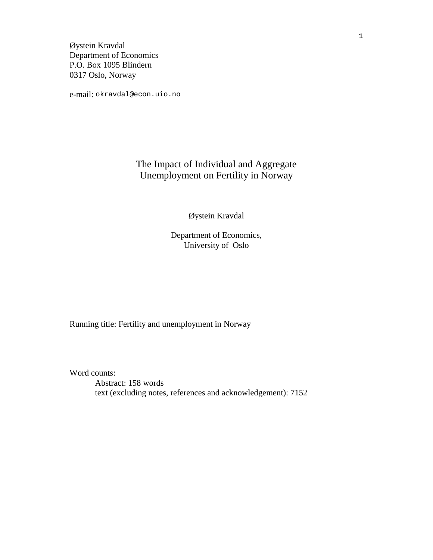Øystein Kravdal Department of Economics P.O. Box 1095 Blindern 0317 Oslo, Norway

e-mail: okravdal@econ.uio.no

### The Impact of Individual and Aggregate Unemployment on Fertility in Norway

Øystein Kravdal

Department of Economics, University of Oslo

Running title: Fertility and unemployment in Norway

Word counts:

Abstract: 158 words text (excluding notes, references and acknowledgement): 7152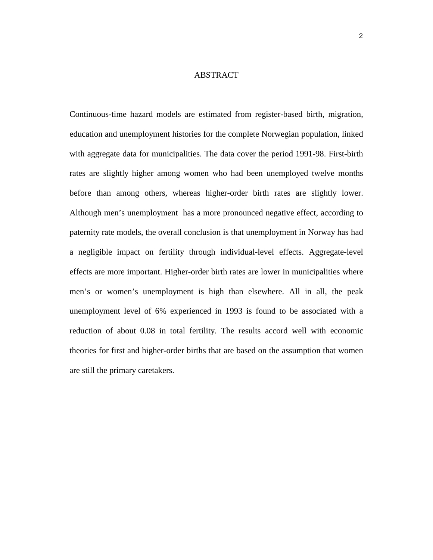#### ABSTRACT

Continuous-time hazard models are estimated from register-based birth, migration, education and unemployment histories for the complete Norwegian population, linked with aggregate data for municipalities. The data cover the period 1991-98. First-birth rates are slightly higher among women who had been unemployed twelve months before than among others, whereas higher-order birth rates are slightly lower. Although men's unemployment has a more pronounced negative effect, according to paternity rate models, the overall conclusion is that unemployment in Norway has had a negligible impact on fertility through individual-level effects. Aggregate-level effects are more important. Higher-order birth rates are lower in municipalities where men's or women's unemployment is high than elsewhere. All in all, the peak unemployment level of 6% experienced in 1993 is found to be associated with a reduction of about 0.08 in total fertility. The results accord well with economic theories for first and higher-order births that are based on the assumption that women are still the primary caretakers.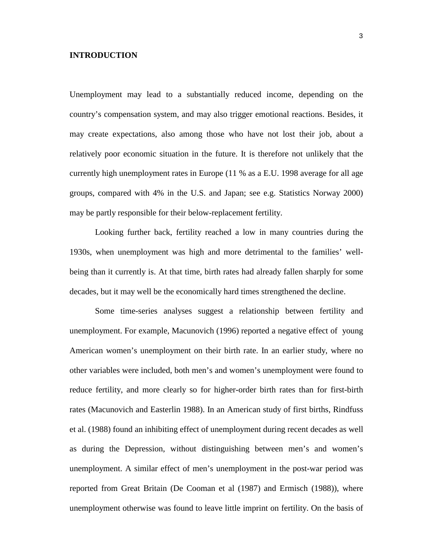#### **INTRODUCTION**

Unemployment may lead to a substantially reduced income, depending on the country's compensation system, and may also trigger emotional reactions. Besides, it may create expectations, also among those who have not lost their job, about a relatively poor economic situation in the future. It is therefore not unlikely that the currently high unemployment rates in Europe (11 % as a E.U. 1998 average for all age groups, compared with 4% in the U.S. and Japan; see e.g. Statistics Norway 2000) may be partly responsible for their below-replacement fertility.

Looking further back, fertility reached a low in many countries during the 1930s, when unemployment was high and more detrimental to the families' wellbeing than it currently is. At that time, birth rates had already fallen sharply for some decades, but it may well be the economically hard times strengthened the decline.

Some time-series analyses suggest a relationship between fertility and unemployment. For example, Macunovich (1996) reported a negative effect of young American women's unemployment on their birth rate. In an earlier study, where no other variables were included, both men's and women's unemployment were found to reduce fertility, and more clearly so for higher-order birth rates than for first-birth rates (Macunovich and Easterlin 1988). In an American study of first births, Rindfuss et al. (1988) found an inhibiting effect of unemployment during recent decades as well as during the Depression, without distinguishing between men's and women's unemployment. A similar effect of men's unemployment in the post-war period was reported from Great Britain (De Cooman et al (1987) and Ermisch (1988)), where unemployment otherwise was found to leave little imprint on fertility. On the basis of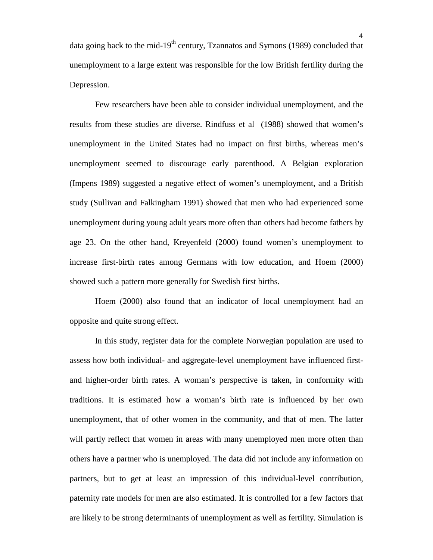data going back to the mid-19<sup>th</sup> century, Tzannatos and Symons (1989) concluded that unemployment to a large extent was responsible for the low British fertility during the Depression.

Few researchers have been able to consider individual unemployment, and the results from these studies are diverse. Rindfuss et al (1988) showed that women's unemployment in the United States had no impact on first births, whereas men's unemployment seemed to discourage early parenthood. A Belgian exploration (Impens 1989) suggested a negative effect of women's unemployment, and a British study (Sullivan and Falkingham 1991) showed that men who had experienced some unemployment during young adult years more often than others had become fathers by age 23. On the other hand, Kreyenfeld (2000) found women's unemployment to increase first-birth rates among Germans with low education, and Hoem (2000) showed such a pattern more generally for Swedish first births.

Hoem (2000) also found that an indicator of local unemployment had an opposite and quite strong effect.

In this study, register data for the complete Norwegian population are used to assess how both individual- and aggregate-level unemployment have influenced firstand higher-order birth rates. A woman's perspective is taken, in conformity with traditions. It is estimated how a woman's birth rate is influenced by her own unemployment, that of other women in the community, and that of men. The latter will partly reflect that women in areas with many unemployed men more often than others have a partner who is unemployed. The data did not include any information on partners, but to get at least an impression of this individual-level contribution, paternity rate models for men are also estimated. It is controlled for a few factors that are likely to be strong determinants of unemployment as well as fertility. Simulation is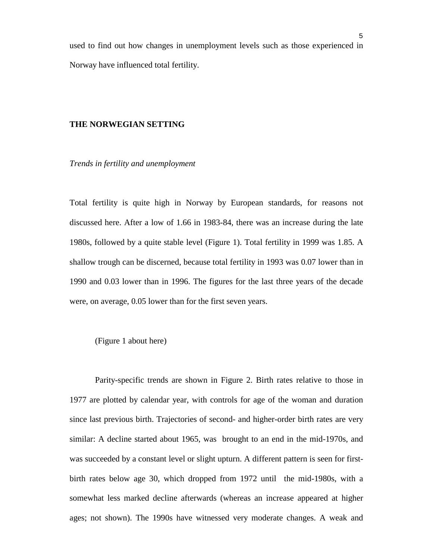used to find out how changes in unemployment levels such as those experienced in Norway have influenced total fertility.

#### **THE NORWEGIAN SETTING**

*Trends in fertility and unemployment*

Total fertility is quite high in Norway by European standards, for reasons not discussed here. After a low of 1.66 in 1983-84, there was an increase during the late 1980s, followed by a quite stable level (Figure 1). Total fertility in 1999 was 1.85. A shallow trough can be discerned, because total fertility in 1993 was 0.07 lower than in 1990 and 0.03 lower than in 1996. The figures for the last three years of the decade were, on average, 0.05 lower than for the first seven years.

#### (Figure 1 about here)

Parity-specific trends are shown in Figure 2. Birth rates relative to those in 1977 are plotted by calendar year, with controls for age of the woman and duration since last previous birth. Trajectories of second- and higher-order birth rates are very similar: A decline started about 1965, was brought to an end in the mid-1970s, and was succeeded by a constant level or slight upturn. A different pattern is seen for firstbirth rates below age 30, which dropped from 1972 until the mid-1980s, with a somewhat less marked decline afterwards (whereas an increase appeared at higher ages; not shown). The 1990s have witnessed very moderate changes. A weak and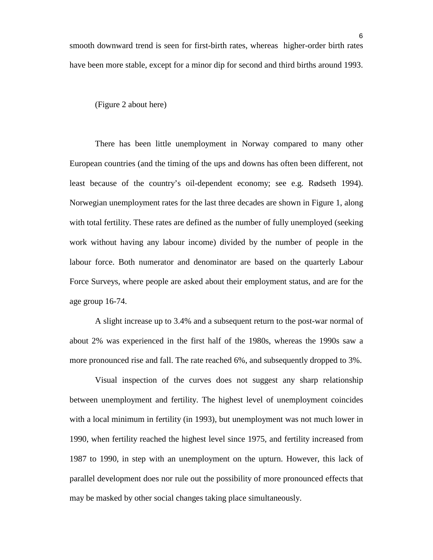(Figure 2 about here)

There has been little unemployment in Norway compared to many other European countries (and the timing of the ups and downs has often been different, not least because of the country's oil-dependent economy; see e.g. Rødseth 1994). Norwegian unemployment rates for the last three decades are shown in Figure 1, along with total fertility. These rates are defined as the number of fully unemployed (seeking work without having any labour income) divided by the number of people in the labour force. Both numerator and denominator are based on the quarterly Labour Force Surveys, where people are asked about their employment status, and are for the age group 16-74.

A slight increase up to 3.4% and a subsequent return to the post-war normal of about 2% was experienced in the first half of the 1980s, whereas the 1990s saw a more pronounced rise and fall. The rate reached 6%, and subsequently dropped to 3%.

Visual inspection of the curves does not suggest any sharp relationship between unemployment and fertility. The highest level of unemployment coincides with a local minimum in fertility (in 1993), but unemployment was not much lower in 1990, when fertility reached the highest level since 1975, and fertility increased from 1987 to 1990, in step with an unemployment on the upturn. However, this lack of parallel development does nor rule out the possibility of more pronounced effects that may be masked by other social changes taking place simultaneously.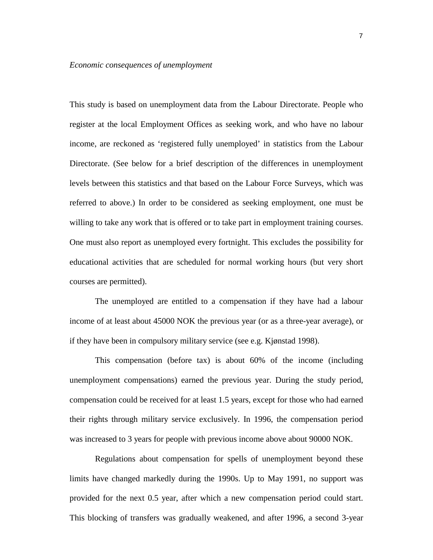This study is based on unemployment data from the Labour Directorate. People who register at the local Employment Offices as seeking work, and who have no labour income, are reckoned as 'registered fully unemployed' in statistics from the Labour Directorate. (See below for a brief description of the differences in unemployment levels between this statistics and that based on the Labour Force Surveys, which was referred to above.) In order to be considered as seeking employment, one must be willing to take any work that is offered or to take part in employment training courses. One must also report as unemployed every fortnight. This excludes the possibility for educational activities that are scheduled for normal working hours (but very short courses are permitted).

The unemployed are entitled to a compensation if they have had a labour income of at least about 45000 NOK the previous year (or as a three-year average), or if they have been in compulsory military service (see e.g. Kjønstad 1998).

This compensation (before tax) is about 60% of the income (including unemployment compensations) earned the previous year. During the study period, compensation could be received for at least 1.5 years, except for those who had earned their rights through military service exclusively. In 1996, the compensation period was increased to 3 years for people with previous income above about 90000 NOK.

Regulations about compensation for spells of unemployment beyond these limits have changed markedly during the 1990s. Up to May 1991, no support was provided for the next 0.5 year, after which a new compensation period could start. This blocking of transfers was gradually weakened, and after 1996, a second 3-year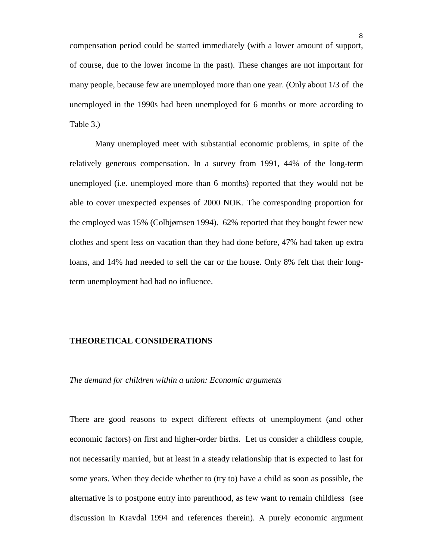compensation period could be started immediately (with a lower amount of support, of course, due to the lower income in the past). These changes are not important for many people, because few are unemployed more than one year. (Only about 1/3 of the unemployed in the 1990s had been unemployed for 6 months or more according to Table 3.)

Many unemployed meet with substantial economic problems, in spite of the relatively generous compensation. In a survey from 1991, 44% of the long-term unemployed (i.e. unemployed more than 6 months) reported that they would not be able to cover unexpected expenses of 2000 NOK. The corresponding proportion for the employed was 15% (Colbjørnsen 1994). 62% reported that they bought fewer new clothes and spent less on vacation than they had done before, 47% had taken up extra loans, and 14% had needed to sell the car or the house. Only 8% felt that their longterm unemployment had had no influence.

#### **THEORETICAL CONSIDERATIONS**

#### *The demand for children within a union: Economic arguments*

There are good reasons to expect different effects of unemployment (and other economic factors) on first and higher-order births. Let us consider a childless couple, not necessarily married, but at least in a steady relationship that is expected to last for some years. When they decide whether to (try to) have a child as soon as possible, the alternative is to postpone entry into parenthood, as few want to remain childless (see discussion in Kravdal 1994 and references therein). A purely economic argument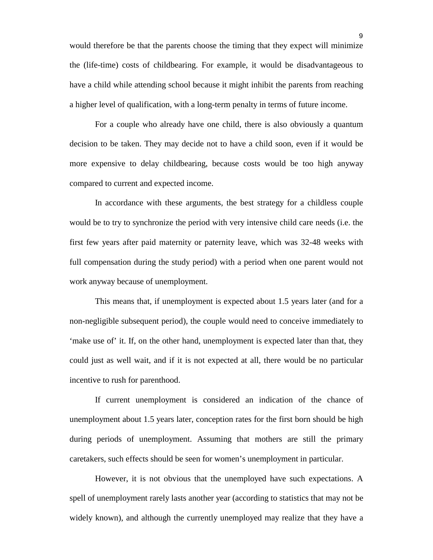would therefore be that the parents choose the timing that they expect will minimize the (life-time) costs of childbearing. For example, it would be disadvantageous to have a child while attending school because it might inhibit the parents from reaching a higher level of qualification, with a long-term penalty in terms of future income.

For a couple who already have one child, there is also obviously a quantum decision to be taken. They may decide not to have a child soon, even if it would be more expensive to delay childbearing, because costs would be too high anyway compared to current and expected income.

In accordance with these arguments, the best strategy for a childless couple would be to try to synchronize the period with very intensive child care needs (i.e. the first few years after paid maternity or paternity leave, which was 32-48 weeks with full compensation during the study period) with a period when one parent would not work anyway because of unemployment.

This means that, if unemployment is expected about 1.5 years later (and for a non-negligible subsequent period), the couple would need to conceive immediately to 'make use of' it. If, on the other hand, unemployment is expected later than that, they could just as well wait, and if it is not expected at all, there would be no particular incentive to rush for parenthood.

If current unemployment is considered an indication of the chance of unemployment about 1.5 years later, conception rates for the first born should be high during periods of unemployment. Assuming that mothers are still the primary caretakers, such effects should be seen for women's unemployment in particular.

However, it is not obvious that the unemployed have such expectations. A spell of unemployment rarely lasts another year (according to statistics that may not be widely known), and although the currently unemployed may realize that they have a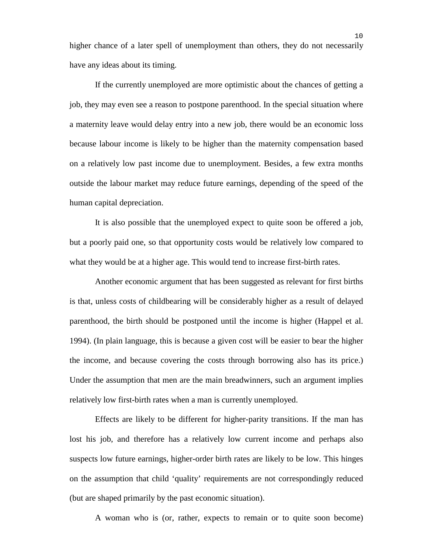higher chance of a later spell of unemployment than others, they do not necessarily have any ideas about its timing.

If the currently unemployed are more optimistic about the chances of getting a job, they may even see a reason to postpone parenthood. In the special situation where a maternity leave would delay entry into a new job, there would be an economic loss because labour income is likely to be higher than the maternity compensation based on a relatively low past income due to unemployment. Besides, a few extra months outside the labour market may reduce future earnings, depending of the speed of the human capital depreciation.

It is also possible that the unemployed expect to quite soon be offered a job, but a poorly paid one, so that opportunity costs would be relatively low compared to what they would be at a higher age. This would tend to increase first-birth rates.

Another economic argument that has been suggested as relevant for first births is that, unless costs of childbearing will be considerably higher as a result of delayed parenthood, the birth should be postponed until the income is higher (Happel et al. 1994). (In plain language, this is because a given cost will be easier to bear the higher the income, and because covering the costs through borrowing also has its price.) Under the assumption that men are the main breadwinners, such an argument implies relatively low first-birth rates when a man is currently unemployed.

Effects are likely to be different for higher-parity transitions. If the man has lost his job, and therefore has a relatively low current income and perhaps also suspects low future earnings, higher-order birth rates are likely to be low. This hinges on the assumption that child 'quality' requirements are not correspondingly reduced (but are shaped primarily by the past economic situation).

A woman who is (or, rather, expects to remain or to quite soon become)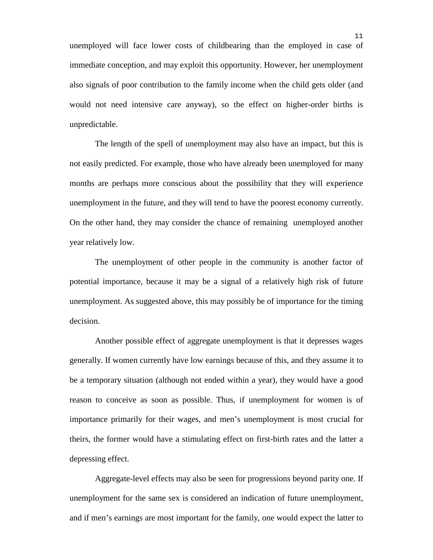unemployed will face lower costs of childbearing than the employed in case of immediate conception, and may exploit this opportunity. However, her unemployment also signals of poor contribution to the family income when the child gets older (and would not need intensive care anyway), so the effect on higher-order births is unpredictable.

The length of the spell of unemployment may also have an impact, but this is not easily predicted. For example, those who have already been unemployed for many months are perhaps more conscious about the possibility that they will experience unemployment in the future, and they will tend to have the poorest economy currently. On the other hand, they may consider the chance of remaining unemployed another year relatively low.

The unemployment of other people in the community is another factor of potential importance, because it may be a signal of a relatively high risk of future unemployment. As suggested above, this may possibly be of importance for the timing decision.

Another possible effect of aggregate unemployment is that it depresses wages generally. If women currently have low earnings because of this, and they assume it to be a temporary situation (although not ended within a year), they would have a good reason to conceive as soon as possible. Thus, if unemployment for women is of importance primarily for their wages, and men's unemployment is most crucial for theirs, the former would have a stimulating effect on first-birth rates and the latter a depressing effect.

Aggregate-level effects may also be seen for progressions beyond parity one. If unemployment for the same sex is considered an indication of future unemployment, and if men's earnings are most important for the family, one would expect the latter to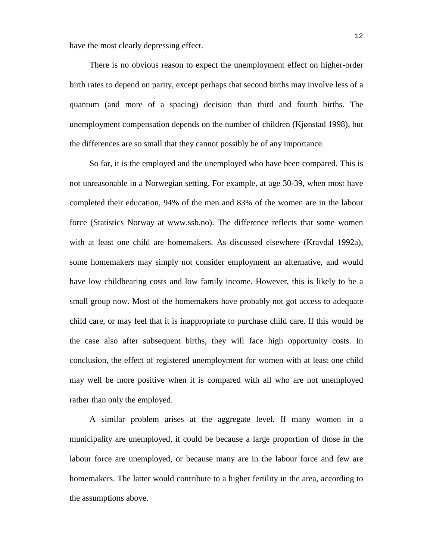have the most clearly depressing effect.

There is no obvious reason to expect the unemployment effect on higher-order birth rates to depend on parity, except perhaps that second births may involve less of a quantum (and more of a spacing) decision than third and fourth births. The unemployment compensation depends on the number of children (Kjønstad 1998), but the differences are so small that they cannot possibly be of any importance.

So far, it is the employed and the unemployed who have been compared. This is not unreasonable in a Norwegian setting. For example, at age 30-39, when most have completed their education, 94% of the men and 83% of the women are in the labour force (Statistics Norway at www.ssb.no). The difference reflects that some women with at least one child are homemakers. As discussed elsewhere (Kravdal 1992a), some homemakers may simply not consider employment an alternative, and would have low childbearing costs and low family income. However, this is likely to be a small group now. Most of the homemakers have probably not got access to adequate child care, or may feel that it is inappropriate to purchase child care. If this would be the case also after subsequent births, they will face high opportunity costs. In conclusion, the effect of registered unemployment for women with at least one child may well be more positive when it is compared with all who are not unemployed rather than only the employed.

A similar problem arises at the aggregate level. If many women in a municipality are unemployed, it could be because a large proportion of those in the labour force are unemployed, or because many are in the labour force and few are homemakers. The latter would contribute to a higher fertility in the area, according to the assumptions above.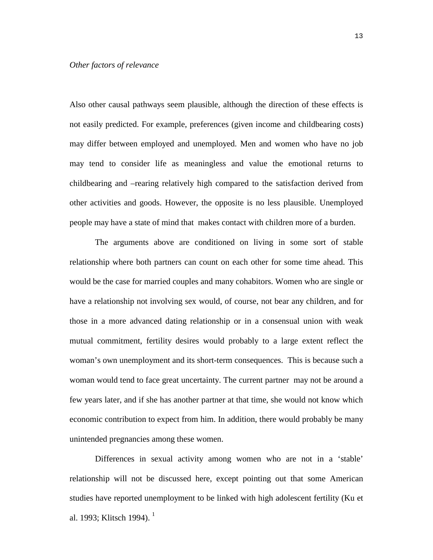#### *Other factors of relevance*

Also other causal pathways seem plausible, although the direction of these effects is not easily predicted. For example, preferences (given income and childbearing costs) may differ between employed and unemployed. Men and women who have no job may tend to consider life as meaningless and value the emotional returns to childbearing and –rearing relatively high compared to the satisfaction derived from other activities and goods. However, the opposite is no less plausible. Unemployed people may have a state of mind that makes contact with children more of a burden.

The arguments above are conditioned on living in some sort of stable relationship where both partners can count on each other for some time ahead. This would be the case for married couples and many cohabitors. Women who are single or have a relationship not involving sex would, of course, not bear any children, and for those in a more advanced dating relationship or in a consensual union with weak mutual commitment, fertility desires would probably to a large extent reflect the woman's own unemployment and its short-term consequences. This is because such a woman would tend to face great uncertainty. The current partner may not be around a few years later, and if she has another partner at that time, she would not know which economic contribution to expect from him. In addition, there would probably be many unintended pregnancies among these women.

Differences in sexual activity among women who are not in a 'stable' relationship will not be discussed here, except pointing out that some American studies have reported unemployment to be linked with high adolescent fertility (Ku et al. 1993; Klitsch 1994).<sup>1</sup>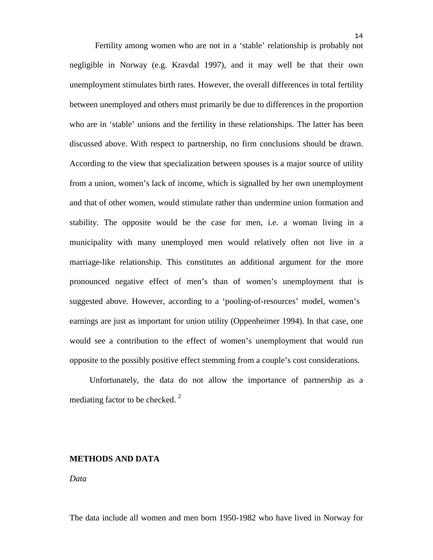Fertility among women who are not in a 'stable' relationship is probably not negligible in Norway (e.g. Kravdal 1997), and it may well be that their own unemployment stimulates birth rates. However, the overall differences in total fertility between unemployed and others must primarily be due to differences in the proportion who are in 'stable' unions and the fertility in these relationships. The latter has been discussed above. With respect to partnership, no firm conclusions should be drawn. According to the view that specialization between spouses is a major source of utility from a union, women's lack of income, which is signalled by her own unemployment and that of other women, would stimulate rather than undermine union formation and stability. The opposite would be the case for men, i.e. a woman living in a municipality with many unemployed men would relatively often not live in a marriage-like relationship. This constitutes an additional argument for the more pronounced negative effect of men's than of women's unemployment that is suggested above. However, according to a 'pooling-of-resources' model, women's earnings are just as important for union utility (Oppenheimer 1994). In that case, one would see a contribution to the effect of women's unemployment that would run opposite to the possibly positive effect stemming from a couple's cost considerations.

Unfortunately, the data do not allow the importance of partnership as a mediating factor to be checked. $<sup>2</sup>$ </sup>

#### **METHODS AND DATA**

#### *Data*

The data include all women and men born 1950-1982 who have lived in Norway for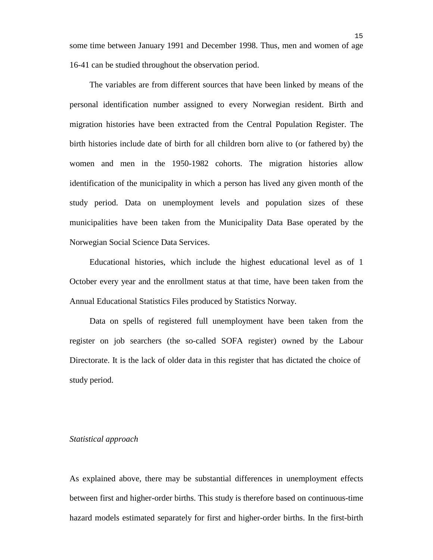some time between January 1991 and December 1998. Thus, men and women of age 16-41 can be studied throughout the observation period.

The variables are from different sources that have been linked by means of the personal identification number assigned to every Norwegian resident. Birth and migration histories have been extracted from the Central Population Register. The birth histories include date of birth for all children born alive to (or fathered by) the women and men in the 1950-1982 cohorts. The migration histories allow identification of the municipality in which a person has lived any given month of the study period. Data on unemployment levels and population sizes of these municipalities have been taken from the Municipality Data Base operated by the Norwegian Social Science Data Services.

Educational histories, which include the highest educational level as of 1 October every year and the enrollment status at that time, have been taken from the Annual Educational Statistics Files produced by Statistics Norway.

Data on spells of registered full unemployment have been taken from the register on job searchers (the so-called SOFA register) owned by the Labour Directorate. It is the lack of older data in this register that has dictated the choice of study period.

#### *Statistical approach*

As explained above, there may be substantial differences in unemployment effects between first and higher-order births. This study is therefore based on continuous-time hazard models estimated separately for first and higher-order births. In the first-birth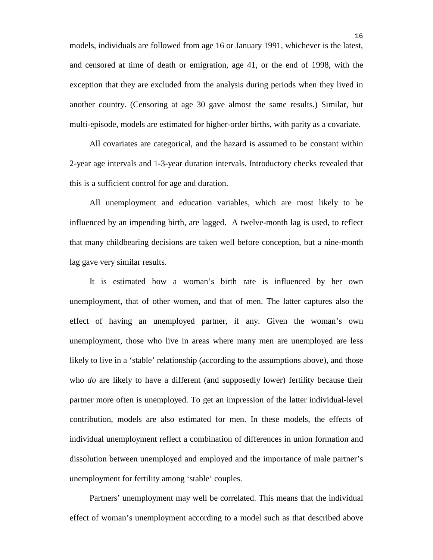models, individuals are followed from age 16 or January 1991, whichever is the latest, and censored at time of death or emigration, age 41, or the end of 1998, with the exception that they are excluded from the analysis during periods when they lived in another country. (Censoring at age 30 gave almost the same results.) Similar, but multi-episode, models are estimated for higher-order births, with parity as a covariate.

All covariates are categorical, and the hazard is assumed to be constant within 2-year age intervals and 1-3-year duration intervals. Introductory checks revealed that this is a sufficient control for age and duration.

All unemployment and education variables, which are most likely to be influenced by an impending birth, are lagged. A twelve-month lag is used, to reflect that many childbearing decisions are taken well before conception, but a nine-month lag gave very similar results.

It is estimated how a woman's birth rate is influenced by her own unemployment, that of other women, and that of men. The latter captures also the effect of having an unemployed partner, if any. Given the woman's own unemployment, those who live in areas where many men are unemployed are less likely to live in a 'stable' relationship (according to the assumptions above), and those who *do* are likely to have a different (and supposedly lower) fertility because their partner more often is unemployed. To get an impression of the latter individual-level contribution, models are also estimated for men. In these models, the effects of individual unemployment reflect a combination of differences in union formation and dissolution between unemployed and employed and the importance of male partner's unemployment for fertility among 'stable' couples.

Partners' unemployment may well be correlated. This means that the individual effect of woman's unemployment according to a model such as that described above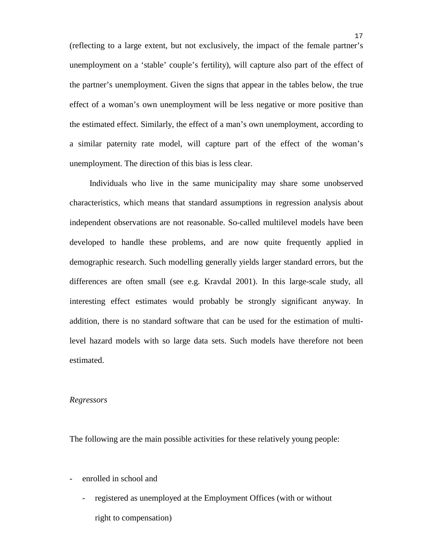(reflecting to a large extent, but not exclusively, the impact of the female partner's unemployment on a 'stable' couple's fertility), will capture also part of the effect of the partner's unemployment. Given the signs that appear in the tables below, the true effect of a woman's own unemployment will be less negative or more positive than the estimated effect. Similarly, the effect of a man's own unemployment, according to a similar paternity rate model, will capture part of the effect of the woman's unemployment. The direction of this bias is less clear.

Individuals who live in the same municipality may share some unobserved characteristics, which means that standard assumptions in regression analysis about independent observations are not reasonable. So-called multilevel models have been developed to handle these problems, and are now quite frequently applied in demographic research. Such modelling generally yields larger standard errors, but the differences are often small (see e.g. Kravdal 2001). In this large-scale study, all interesting effect estimates would probably be strongly significant anyway. In addition, there is no standard software that can be used for the estimation of multilevel hazard models with so large data sets. Such models have therefore not been estimated.

#### *Regressors*

The following are the main possible activities for these relatively young people:

- enrolled in school and
	- registered as unemployed at the Employment Offices (with or without right to compensation)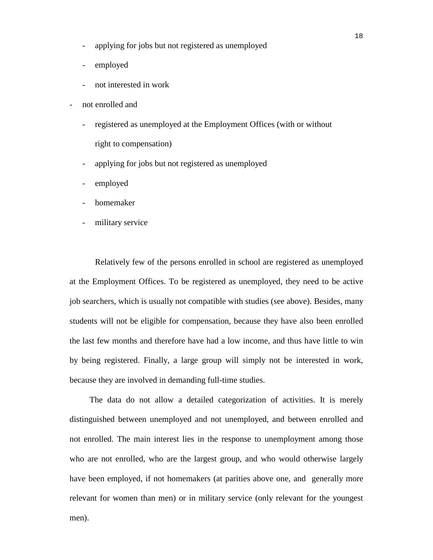- applying for jobs but not registered as unemployed
- employed
- not interested in work
- not enrolled and
	- registered as unemployed at the Employment Offices (with or without right to compensation)
	- applying for jobs but not registered as unemployed
	- employed
	- homemaker
	- military service

Relatively few of the persons enrolled in school are registered as unemployed at the Employment Offices. To be registered as unemployed, they need to be active job searchers, which is usually not compatible with studies (see above). Besides, many students will not be eligible for compensation, because they have also been enrolled the last few months and therefore have had a low income, and thus have little to win by being registered. Finally, a large group will simply not be interested in work, because they are involved in demanding full-time studies.

The data do not allow a detailed categorization of activities. It is merely distinguished between unemployed and not unemployed, and between enrolled and not enrolled. The main interest lies in the response to unemployment among those who are not enrolled, who are the largest group, and who would otherwise largely have been employed, if not homemakers (at parities above one, and generally more relevant for women than men) or in military service (only relevant for the youngest men).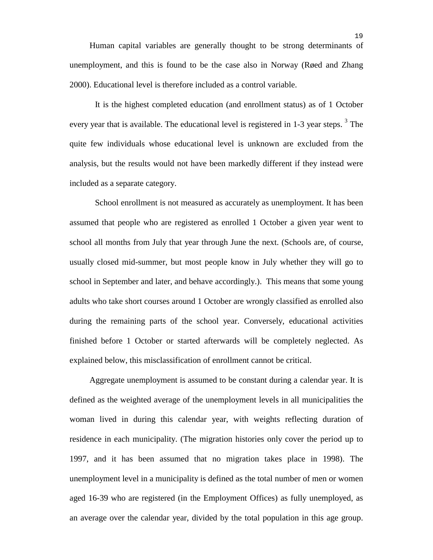It is the highest completed education (and enrollment status) as of 1 October every year that is available. The educational level is registered in 1-3 year steps.<sup>3</sup> The quite few individuals whose educational level is unknown are excluded from the analysis, but the results would not have been markedly different if they instead were included as a separate category.

School enrollment is not measured as accurately as unemployment. It has been assumed that people who are registered as enrolled 1 October a given year went to school all months from July that year through June the next. (Schools are, of course, usually closed mid-summer, but most people know in July whether they will go to school in September and later, and behave accordingly.). This means that some young adults who take short courses around 1 October are wrongly classified as enrolled also during the remaining parts of the school year. Conversely, educational activities finished before 1 October or started afterwards will be completely neglected. As explained below, this misclassification of enrollment cannot be critical.

Aggregate unemployment is assumed to be constant during a calendar year. It is defined as the weighted average of the unemployment levels in all municipalities the woman lived in during this calendar year, with weights reflecting duration of residence in each municipality. (The migration histories only cover the period up to 1997, and it has been assumed that no migration takes place in 1998). The unemployment level in a municipality is defined as the total number of men or women aged 16-39 who are registered (in the Employment Offices) as fully unemployed, as an average over the calendar year, divided by the total population in this age group.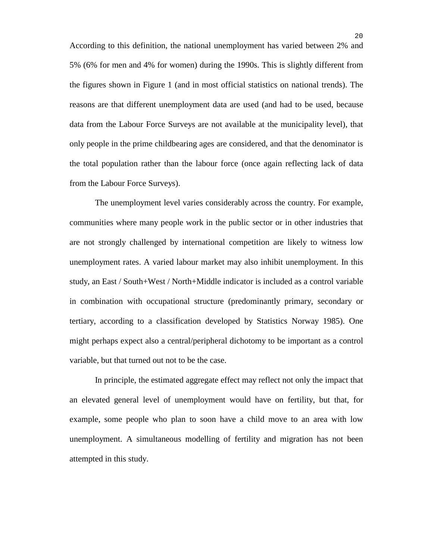According to this definition, the national unemployment has varied between 2% and 5% (6% for men and 4% for women) during the 1990s. This is slightly different from the figures shown in Figure 1 (and in most official statistics on national trends). The reasons are that different unemployment data are used (and had to be used, because data from the Labour Force Surveys are not available at the municipality level), that only people in the prime childbearing ages are considered, and that the denominator is the total population rather than the labour force (once again reflecting lack of data from the Labour Force Surveys).

The unemployment level varies considerably across the country. For example, communities where many people work in the public sector or in other industries that are not strongly challenged by international competition are likely to witness low unemployment rates. A varied labour market may also inhibit unemployment. In this study, an East / South+West / North+Middle indicator is included as a control variable in combination with occupational structure (predominantly primary, secondary or tertiary, according to a classification developed by Statistics Norway 1985). One might perhaps expect also a central/peripheral dichotomy to be important as a control variable, but that turned out not to be the case.

In principle, the estimated aggregate effect may reflect not only the impact that an elevated general level of unemployment would have on fertility, but that, for example, some people who plan to soon have a child move to an area with low unemployment. A simultaneous modelling of fertility and migration has not been attempted in this study.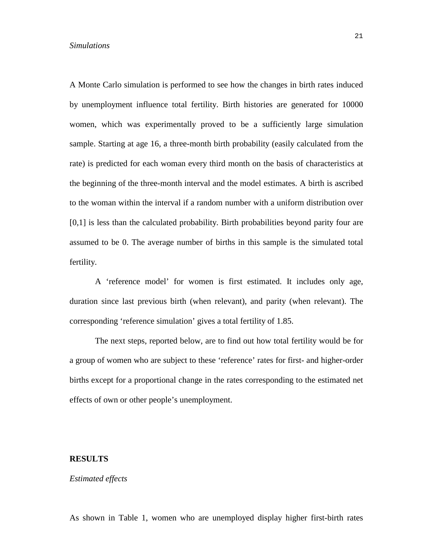#### *Simulations*

A Monte Carlo simulation is performed to see how the changes in birth rates induced by unemployment influence total fertility. Birth histories are generated for 10000 women, which was experimentally proved to be a sufficiently large simulation sample. Starting at age 16, a three-month birth probability (easily calculated from the rate) is predicted for each woman every third month on the basis of characteristics at the beginning of the three-month interval and the model estimates. A birth is ascribed to the woman within the interval if a random number with a uniform distribution over [0,1] is less than the calculated probability. Birth probabilities beyond parity four are assumed to be 0. The average number of births in this sample is the simulated total fertility.

A 'reference model' for women is first estimated. It includes only age, duration since last previous birth (when relevant), and parity (when relevant). The corresponding 'reference simulation' gives a total fertility of 1.85.

The next steps, reported below, are to find out how total fertility would be for a group of women who are subject to these 'reference' rates for first- and higher-order births except for a proportional change in the rates corresponding to the estimated net effects of own or other people's unemployment.

#### **RESULTS**

#### *Estimated effects*

As shown in Table 1, women who are unemployed display higher first-birth rates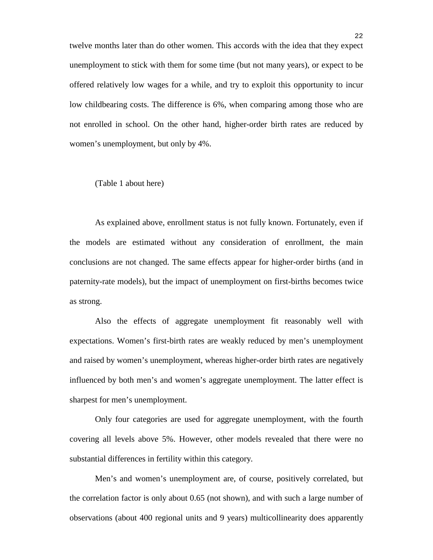twelve months later than do other women. This accords with the idea that they expect unemployment to stick with them for some time (but not many years), or expect to be offered relatively low wages for a while, and try to exploit this opportunity to incur low childbearing costs. The difference is 6%, when comparing among those who are not enrolled in school. On the other hand, higher-order birth rates are reduced by women's unemployment, but only by 4%.

#### (Table 1 about here)

As explained above, enrollment status is not fully known. Fortunately, even if the models are estimated without any consideration of enrollment, the main conclusions are not changed. The same effects appear for higher-order births (and in paternity-rate models), but the impact of unemployment on first-births becomes twice as strong.

Also the effects of aggregate unemployment fit reasonably well with expectations. Women's first-birth rates are weakly reduced by men's unemployment and raised by women's unemployment, whereas higher-order birth rates are negatively influenced by both men's and women's aggregate unemployment. The latter effect is sharpest for men's unemployment.

Only four categories are used for aggregate unemployment, with the fourth covering all levels above 5%. However, other models revealed that there were no substantial differences in fertility within this category.

Men's and women's unemployment are, of course, positively correlated, but the correlation factor is only about 0.65 (not shown), and with such a large number of observations (about 400 regional units and 9 years) multicollinearity does apparently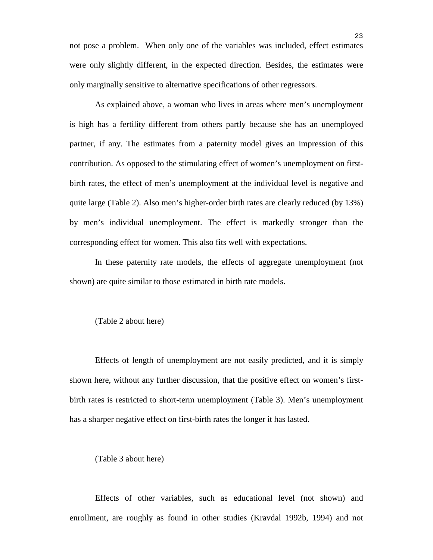not pose a problem. When only one of the variables was included, effect estimates were only slightly different, in the expected direction. Besides, the estimates were only marginally sensitive to alternative specifications of other regressors.

As explained above, a woman who lives in areas where men's unemployment is high has a fertility different from others partly because she has an unemployed partner, if any. The estimates from a paternity model gives an impression of this contribution. As opposed to the stimulating effect of women's unemployment on firstbirth rates, the effect of men's unemployment at the individual level is negative and quite large (Table 2). Also men's higher-order birth rates are clearly reduced (by 13%) by men's individual unemployment. The effect is markedly stronger than the corresponding effect for women. This also fits well with expectations.

In these paternity rate models, the effects of aggregate unemployment (not shown) are quite similar to those estimated in birth rate models.

#### (Table 2 about here)

Effects of length of unemployment are not easily predicted, and it is simply shown here, without any further discussion, that the positive effect on women's firstbirth rates is restricted to short-term unemployment (Table 3). Men's unemployment has a sharper negative effect on first-birth rates the longer it has lasted.

#### (Table 3 about here)

Effects of other variables, such as educational level (not shown) and enrollment, are roughly as found in other studies (Kravdal 1992b, 1994) and not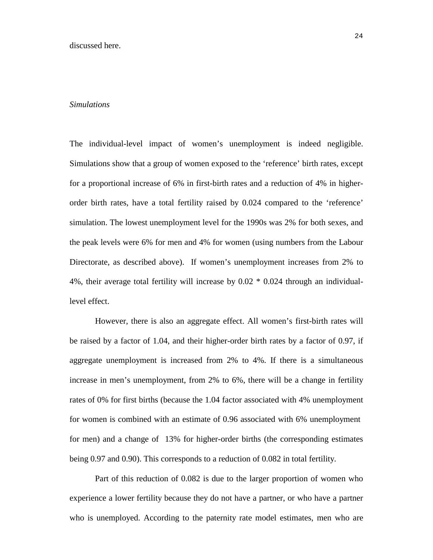#### *Simulations*

The individual-level impact of women's unemployment is indeed negligible. Simulations show that a group of women exposed to the 'reference' birth rates, except for a proportional increase of 6% in first-birth rates and a reduction of 4% in higherorder birth rates, have a total fertility raised by 0.024 compared to the 'reference' simulation. The lowest unemployment level for the 1990s was 2% for both sexes, and the peak levels were 6% for men and 4% for women (using numbers from the Labour Directorate, as described above). If women's unemployment increases from 2% to 4%, their average total fertility will increase by 0.02 \* 0.024 through an individuallevel effect.

However, there is also an aggregate effect. All women's first-birth rates will be raised by a factor of 1.04, and their higher-order birth rates by a factor of 0.97, if aggregate unemployment is increased from 2% to 4%. If there is a simultaneous increase in men's unemployment, from 2% to 6%, there will be a change in fertility rates of 0% for first births (because the 1.04 factor associated with 4% unemployment for women is combined with an estimate of 0.96 associated with 6% unemployment for men) and a change of 13% for higher-order births (the corresponding estimates being 0.97 and 0.90). This corresponds to a reduction of 0.082 in total fertility.

Part of this reduction of 0.082 is due to the larger proportion of women who experience a lower fertility because they do not have a partner, or who have a partner who is unemployed. According to the paternity rate model estimates, men who are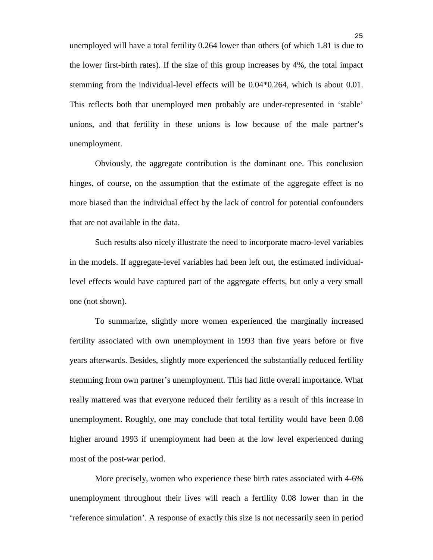unemployed will have a total fertility 0.264 lower than others (of which 1.81 is due to the lower first-birth rates). If the size of this group increases by 4%, the total impact stemming from the individual-level effects will be 0.04\*0.264, which is about 0.01. This reflects both that unemployed men probably are under-represented in 'stable' unions, and that fertility in these unions is low because of the male partner's unemployment.

Obviously, the aggregate contribution is the dominant one. This conclusion hinges, of course, on the assumption that the estimate of the aggregate effect is no more biased than the individual effect by the lack of control for potential confounders that are not available in the data.

Such results also nicely illustrate the need to incorporate macro-level variables in the models. If aggregate-level variables had been left out, the estimated individuallevel effects would have captured part of the aggregate effects, but only a very small one (not shown).

To summarize, slightly more women experienced the marginally increased fertility associated with own unemployment in 1993 than five years before or five years afterwards. Besides, slightly more experienced the substantially reduced fertility stemming from own partner's unemployment. This had little overall importance. What really mattered was that everyone reduced their fertility as a result of this increase in unemployment. Roughly, one may conclude that total fertility would have been 0.08 higher around 1993 if unemployment had been at the low level experienced during most of the post-war period.

More precisely, women who experience these birth rates associated with 4-6% unemployment throughout their lives will reach a fertility 0.08 lower than in the 'reference simulation'. A response of exactly this size is not necessarily seen in period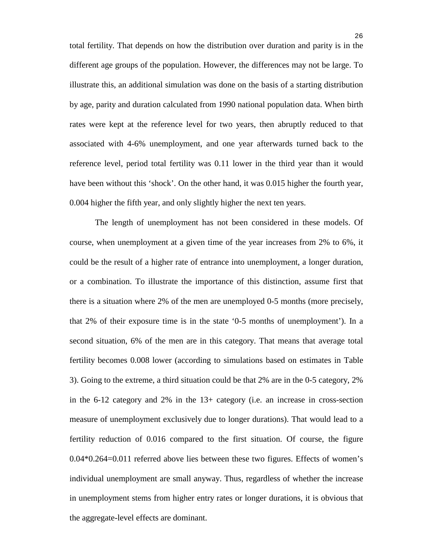total fertility. That depends on how the distribution over duration and parity is in the different age groups of the population. However, the differences may not be large. To illustrate this, an additional simulation was done on the basis of a starting distribution by age, parity and duration calculated from 1990 national population data. When birth rates were kept at the reference level for two years, then abruptly reduced to that associated with 4-6% unemployment, and one year afterwards turned back to the reference level, period total fertility was 0.11 lower in the third year than it would have been without this 'shock'. On the other hand, it was 0.015 higher the fourth year, 0.004 higher the fifth year, and only slightly higher the next ten years.

The length of unemployment has not been considered in these models. Of course, when unemployment at a given time of the year increases from 2% to 6%, it could be the result of a higher rate of entrance into unemployment, a longer duration, or a combination. To illustrate the importance of this distinction, assume first that there is a situation where 2% of the men are unemployed 0-5 months (more precisely, that 2% of their exposure time is in the state '0-5 months of unemployment'). In a second situation, 6% of the men are in this category. That means that average total fertility becomes 0.008 lower (according to simulations based on estimates in Table 3). Going to the extreme, a third situation could be that 2% are in the 0-5 category, 2% in the 6-12 category and 2% in the 13+ category (i.e. an increase in cross-section measure of unemployment exclusively due to longer durations). That would lead to a fertility reduction of 0.016 compared to the first situation. Of course, the figure 0.04\*0.264=0.011 referred above lies between these two figures. Effects of women's individual unemployment are small anyway. Thus, regardless of whether the increase in unemployment stems from higher entry rates or longer durations, it is obvious that the aggregate-level effects are dominant.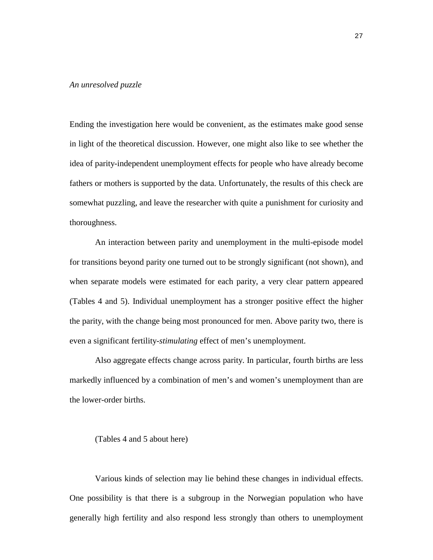#### *An unresolved puzzle*

Ending the investigation here would be convenient, as the estimates make good sense in light of the theoretical discussion. However, one might also like to see whether the idea of parity-independent unemployment effects for people who have already become fathers or mothers is supported by the data. Unfortunately, the results of this check are somewhat puzzling, and leave the researcher with quite a punishment for curiosity and thoroughness.

An interaction between parity and unemployment in the multi-episode model for transitions beyond parity one turned out to be strongly significant (not shown), and when separate models were estimated for each parity, a very clear pattern appeared (Tables 4 and 5). Individual unemployment has a stronger positive effect the higher the parity, with the change being most pronounced for men. Above parity two, there is even a significant fertility-*stimulating* effect of men's unemployment.

Also aggregate effects change across parity. In particular, fourth births are less markedly influenced by a combination of men's and women's unemployment than are the lower-order births.

(Tables 4 and 5 about here)

Various kinds of selection may lie behind these changes in individual effects. One possibility is that there is a subgroup in the Norwegian population who have generally high fertility and also respond less strongly than others to unemployment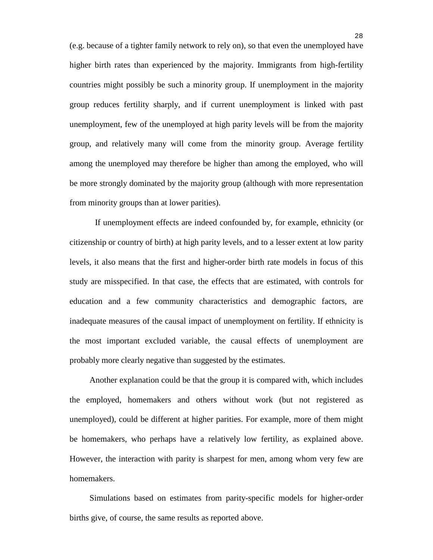(e.g. because of a tighter family network to rely on), so that even the unemployed have higher birth rates than experienced by the majority. Immigrants from high-fertility countries might possibly be such a minority group. If unemployment in the majority group reduces fertility sharply, and if current unemployment is linked with past unemployment, few of the unemployed at high parity levels will be from the majority group, and relatively many will come from the minority group. Average fertility among the unemployed may therefore be higher than among the employed, who will be more strongly dominated by the majority group (although with more representation from minority groups than at lower parities).

If unemployment effects are indeed confounded by, for example, ethnicity (or citizenship or country of birth) at high parity levels, and to a lesser extent at low parity levels, it also means that the first and higher-order birth rate models in focus of this study are misspecified. In that case, the effects that are estimated, with controls for education and a few community characteristics and demographic factors, are inadequate measures of the causal impact of unemployment on fertility. If ethnicity is the most important excluded variable, the causal effects of unemployment are probably more clearly negative than suggested by the estimates.

Another explanation could be that the group it is compared with, which includes the employed, homemakers and others without work (but not registered as unemployed), could be different at higher parities. For example, more of them might be homemakers, who perhaps have a relatively low fertility, as explained above. However, the interaction with parity is sharpest for men, among whom very few are homemakers.

Simulations based on estimates from parity-specific models for higher-order births give, of course, the same results as reported above.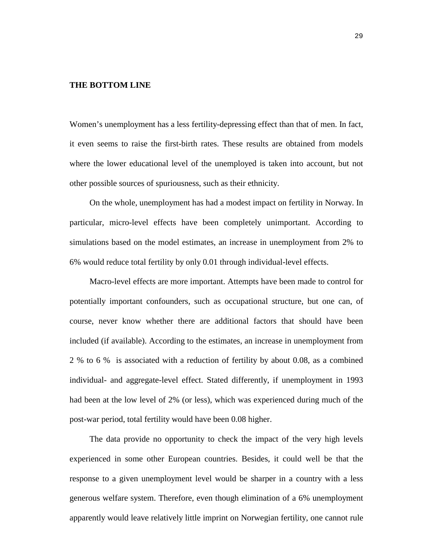#### **THE BOTTOM LINE**

Women's unemployment has a less fertility-depressing effect than that of men. In fact, it even seems to raise the first-birth rates. These results are obtained from models where the lower educational level of the unemployed is taken into account, but not other possible sources of spuriousness, such as their ethnicity.

On the whole, unemployment has had a modest impact on fertility in Norway. In particular, micro-level effects have been completely unimportant. According to simulations based on the model estimates, an increase in unemployment from 2% to 6% would reduce total fertility by only 0.01 through individual-level effects.

Macro-level effects are more important. Attempts have been made to control for potentially important confounders, such as occupational structure, but one can, of course, never know whether there are additional factors that should have been included (if available). According to the estimates, an increase in unemployment from 2 % to 6 % is associated with a reduction of fertility by about 0.08, as a combined individual- and aggregate-level effect. Stated differently, if unemployment in 1993 had been at the low level of 2% (or less), which was experienced during much of the post-war period, total fertility would have been 0.08 higher.

The data provide no opportunity to check the impact of the very high levels experienced in some other European countries. Besides, it could well be that the response to a given unemployment level would be sharper in a country with a less generous welfare system. Therefore, even though elimination of a 6% unemployment apparently would leave relatively little imprint on Norwegian fertility, one cannot rule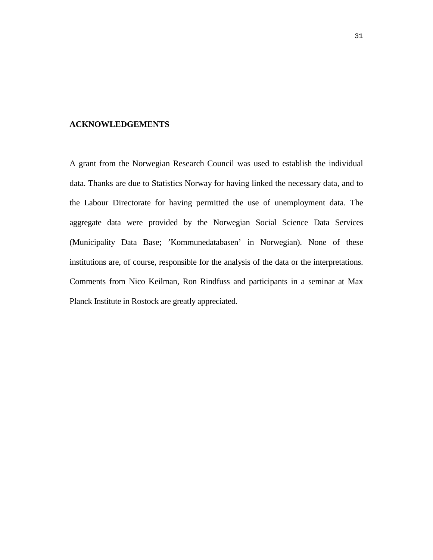#### **ACKNOWLEDGEMENTS**

A grant from the Norwegian Research Council was used to establish the individual data. Thanks are due to Statistics Norway for having linked the necessary data, and to the Labour Directorate for having permitted the use of unemployment data. The aggregate data were provided by the Norwegian Social Science Data Services (Municipality Data Base; 'Kommunedatabasen' in Norwegian). None of these institutions are, of course, responsible for the analysis of the data or the interpretations. Comments from Nico Keilman, Ron Rindfuss and participants in a seminar at Max Planck Institute in Rostock are greatly appreciated.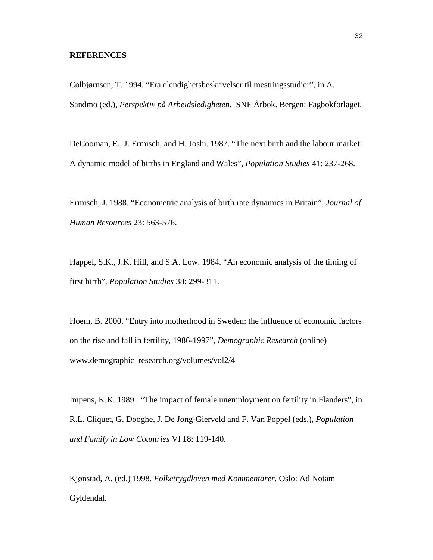#### **REFERENCES**

Colbjørnsen, T. 1994. "Fra elendighetsbeskrivelser til mestringsstudier", in A. Sandmo (ed.), *Perspektiv på Arbeidsledigheten*. SNF Årbok. Bergen: Fagbokforlaget.

DeCooman, E., J. Ermisch, and H. Joshi. 1987. "The next birth and the labour market: A dynamic model of births in England and Wales", *Population Studies* 41: 237-268.

Ermisch, J. 1988. "Econometric analysis of birth rate dynamics in Britain", *Journal of Human Resources* 23: 563-576.

Happel, S.K., J.K. Hill, and S.A. Low. 1984. "An economic analysis of the timing of first birth", *Population Studies* 38: 299-311.

Hoem, B. 2000. "Entry into motherhood in Sweden: the influence of economic factors on the rise and fall in fertility, 1986-1997", *Demographic Research* (online) www.demographic–research.org/volumes/vol2/4

Impens, K.K. 1989. "The impact of female unemployment on fertility in Flanders", in R.L. Cliquet, G. Dooghe, J. De Jong-Gierveld and F. Van Poppel (eds.), *Population and Family in Low Countries* VI 18: 119-140.

Kjønstad, A. (ed.) 1998. *Folketrygdloven med Kommentarer*. Oslo: Ad Notam Gyldendal.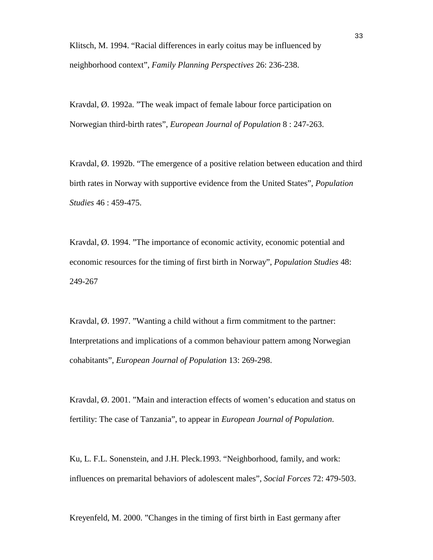Klitsch, M. 1994. "Racial differences in early coitus may be influenced by neighborhood context", *Family Planning Perspectives* 26: 236-238.

Kravdal, Ø. 1992a. "The weak impact of female labour force participation on Norwegian third-birth rates", *European Journal of Population* 8 : 247-263.

Kravdal, Ø. 1992b. "The emergence of a positive relation between education and third birth rates in Norway with supportive evidence from the United States", *Population Studies* 46 : 459-475.

Kravdal, Ø. 1994. "The importance of economic activity, economic potential and economic resources for the timing of first birth in Norway", *Population Studies* 48: 249-267

Kravdal, Ø. 1997. "Wanting a child without a firm commitment to the partner: Interpretations and implications of a common behaviour pattern among Norwegian cohabitants", *European Journal of Population* 13: 269-298.

Kravdal, Ø. 2001. "Main and interaction effects of women's education and status on fertility: The case of Tanzania", to appear in *European Journal of Population*.

Ku, L. F.L. Sonenstein, and J.H. Pleck.1993. "Neighborhood, family, and work: influences on premarital behaviors of adolescent males", *Social Forces* 72: 479-503.

Kreyenfeld, M. 2000. "Changes in the timing of first birth in East germany after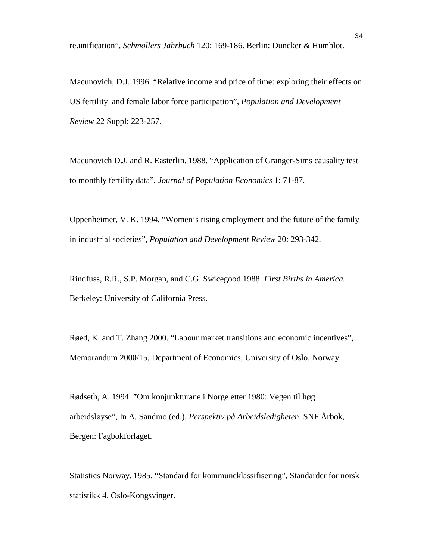re.unification", *Schmollers Jahrbuch* 120: 169-186. Berlin: Duncker & Humblot.

Macunovich, D.J. 1996. "Relative income and price of time: exploring their effects on US fertility and female labor force participation", *Population and Development Review* 22 Suppl: 223-257.

Macunovich D.J. and R. Easterlin. 1988. "Application of Granger-Sims causality test to monthly fertility data", *Journal of Population Economics* 1: 71-87.

Oppenheimer, V. K. 1994. "Women's rising employment and the future of the family in industrial societies", *Population and Development Review* 20: 293-342.

Rindfuss, R.R., S.P. Morgan, and C.G. Swicegood.1988. *First Births in America.* Berkeley: University of California Press.

Røed, K. and T. Zhang 2000. "Labour market transitions and economic incentives", Memorandum 2000/15, Department of Economics, University of Oslo, Norway.

Rødseth, A. 1994. "Om konjunkturane i Norge etter 1980: Vegen til høg arbeidsløyse", In A. Sandmo (ed.), *Perspektiv på Arbeidsledigheten*. SNF Årbok, Bergen: Fagbokforlaget.

Statistics Norway. 1985. "Standard for kommuneklassifisering", Standarder for norsk statistikk 4. Oslo-Kongsvinger.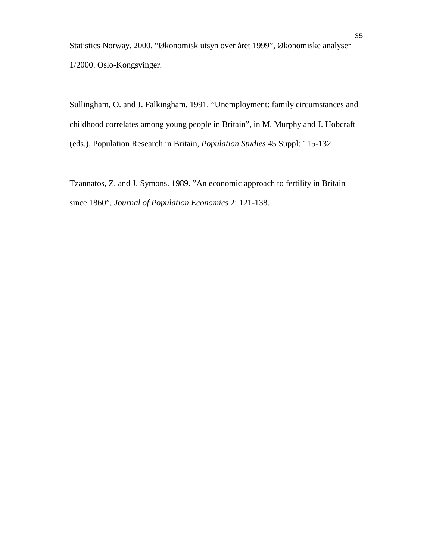Statistics Norway. 2000. "Økonomisk utsyn over året 1999", Økonomiske analyser 1/2000. Oslo-Kongsvinger.

Sullingham, O. and J. Falkingham. 1991. "Unemployment: family circumstances and childhood correlates among young people in Britain", in M. Murphy and J. Hobcraft (eds.), Population Research in Britain, *Population Studies* 45 Suppl: 115-132

Tzannatos, Z. and J. Symons. 1989. "An economic approach to fertility in Britain since 1860", *Journal of Population Economics* 2: 121-138.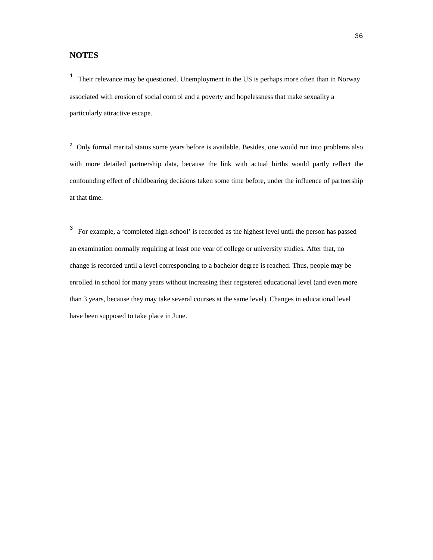#### **NOTES**

<sup>1</sup> Their relevance may be questioned. Unemployment in the US is perhaps more often than in Norway associated with erosion of social control and a poverty and hopelessness that make sexuality a particularly attractive escape.

<sup>2</sup> Only formal marital status some years before is available. Besides, one would run into problems also with more detailed partnership data, because the link with actual births would partly reflect the confounding effect of childbearing decisions taken some time before, under the influence of partnership at that time.

<sup>3</sup> For example, a 'completed high-school' is recorded as the highest level until the person has passed an examination normally requiring at least one year of college or university studies. After that, no change is recorded until a level corresponding to a bachelor degree is reached. Thus, people may be enrolled in school for many years without increasing their registered educational level (and even more than 3 years, because they may take several courses at the same level). Changes in educational level have been supposed to take place in June.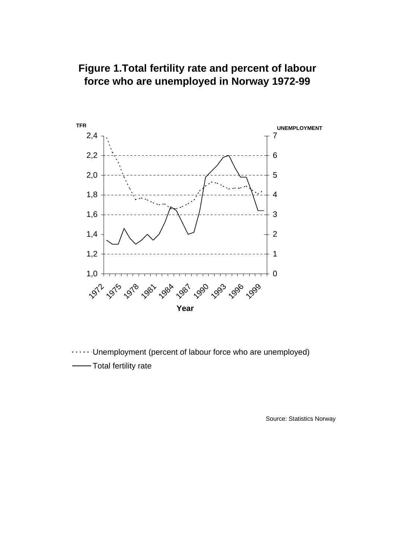## **Figure 1.Total fertility rate and percent of labour force who are unemployed in Norway 1972-99**



Unemployment (percent of labour force who are unemployed) Total fertility rate

Source: Statistics Norway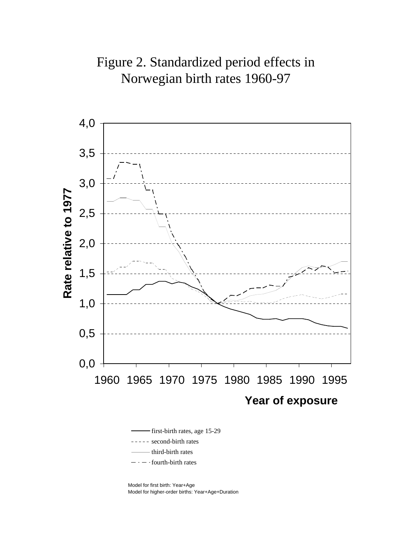



first-birth rates, age 15-29 - second-birth rates third-birth rates fourth-birth rates

Model for first birth: Year+Age Model for higher-order births: Year+Age+Duration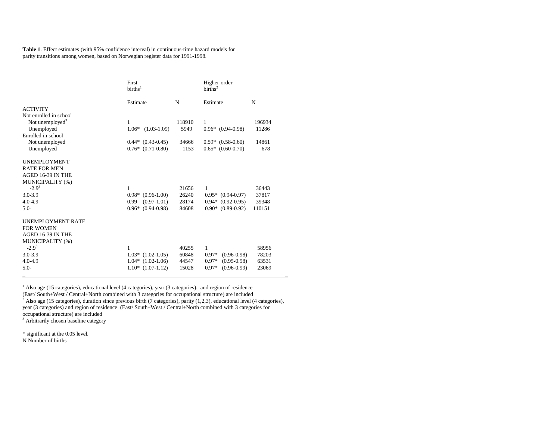**Table 1**. Effect estimates (with 95% confidence interval) in continuous-time hazard models for parity transitions among women, based on Norwegian register data for 1991-1998.

|                             | First<br>births <sup>1</sup> |        | Higher-order<br>births <sup>2</sup> |        |
|-----------------------------|------------------------------|--------|-------------------------------------|--------|
|                             | Estimate                     | N      | Estimate                            | N      |
| <b>ACTIVITY</b>             |                              |        |                                     |        |
| Not enrolled in school      |                              |        |                                     |        |
| Not unemployed <sup>3</sup> | 1                            | 118910 | 1                                   | 196934 |
| Unemployed                  | $(1.03-1.09)$<br>$1.06*$     | 5949   | $0.96*$ $(0.94-0.98)$               | 11286  |
| Enrolled in school          |                              |        |                                     |        |
| Not unemployed              | $0.44*$ $(0.43-0.45)$        | 34666  | $0.59*$ $(0.58-0.60)$               | 14861  |
| Unemployed                  | $0.76*(0.71-0.80)$           | 1153   | $0.65*$ $(0.60-0.70)$               | 678    |
| <b>UNEMPLOYMENT</b>         |                              |        |                                     |        |
| <b>RATE FOR MEN</b>         |                              |        |                                     |        |
| AGED 16-39 IN THE           |                              |        |                                     |        |
| MUNICIPALITY (%)            |                              |        |                                     |        |
| $-2.9^{3}$                  | 1                            | 21656  | 1                                   | 36443  |
| $3.0 - 3.9$                 | $0.98*$<br>$(0.96-1.00)$     | 26240  | $0.95*$ $(0.94-0.97)$               | 37817  |
| $4.0 - 4.9$                 | $(0.97-1.01)$<br>0.99        | 28174  | $0.94*$ $(0.92-0.95)$               | 39348  |
| $5.0-$                      | $0.96*$ $(0.94-0.98)$        | 84608  | $0.90*$ $(0.89-0.92)$               | 110151 |
| <b>UNEMPLOYMENT RATE</b>    |                              |        |                                     |        |
| <b>FOR WOMEN</b>            |                              |        |                                     |        |
| AGED 16-39 IN THE           |                              |        |                                     |        |
| MUNICIPALITY (%)            |                              |        |                                     |        |
| $-2.9^{3}$                  | 1                            | 40255  | 1                                   | 58956  |
| $3.0 - 3.9$                 | $1.03*$ $(1.02-1.05)$        | 60848  | $0.97*$<br>$(0.96 - 0.98)$          | 78203  |
| $4.0 - 4.9$                 | $1.04*$ $(1.02-1.06)$        | 44547  | $(0.95 - 0.98)$<br>$0.97*$          | 63531  |
| $5.0-$                      | $1.10*$ $(1.07-1.12)$        | 15028  | $0.97*$<br>$(0.96 - 0.99)$          | 23069  |

<sup>1</sup> Also age (15 categories), educational level (4 categories), year (3 categories), and region of residence (East/ South+West / Central+North combined with 3 categories for occupational structure) are included <sup>2</sup> Also age (15 categories), duration since previous birth (7 categories), parity (1,2,3), educational level (4 categories), year (3 categories) and region of residence (East/ South+West / Central+North combined with 3 categories for occupational structure) are included

\_ \_

<sup>3</sup> Arbitrarily chosen baseline category

\* significant at the 0.05 level.

N Number of births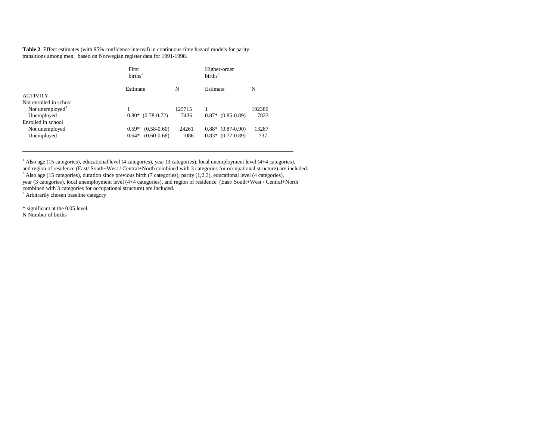**Table 2**. Effect estimates (with 95% confidence interval) in continuous-time hazard models for parity transitions among men, based on Norwegian register data for 1991-1998.

|                             | First<br>births <sup>1</sup> |        | Higher-order<br>births <sup>2</sup> |        |
|-----------------------------|------------------------------|--------|-------------------------------------|--------|
|                             | Estimate                     | N      | Estimate                            | N      |
| <b>ACTIVITY</b>             |                              |        |                                     |        |
| Not enrolled in school      |                              |        |                                     |        |
| Not unemployed <sup>3</sup> |                              | 125715 |                                     | 192386 |
| Unemployed                  | $0.80*$ $(0.78-0.72)$        | 7436   | $0.87*$ $(0.85-0.89)$               | 7823   |
| Enrolled in school          |                              |        |                                     |        |
| Not unemployed              | $(0.58 - 0.60)$<br>$0.59*$   | 24261  | $0.88*$ $(0.87-0.90)$               | 13287  |
| Unemployed                  | $(0.60 - 0.68)$<br>$0.64*$   | 1086   | $0.83*$ $(0.77-0.89)$               | 737    |
|                             |                              |        |                                     |        |

<sup>1</sup> Also age (15 categories), educational level (4 categories), year (3 categories), local unemployment level (4+4 categories), and region of residence (East/ South+West / Central+North combined with 3 categories for occupational structure) are included. <sup>2</sup> Also age (15 categories), duration since previous birth (7 categories), parity (1,2,3), educational level (4 categories), year (3 categories), local unemployment level (4+4 categories), and region of residence (East/ South+West / Central+North combined with 3 categories for occupational structure) are included.

 $\blacksquare$ 

<sup>3</sup> Arbitrarily chosen baseline category

\* significant at the 0.05 level.

N Number of births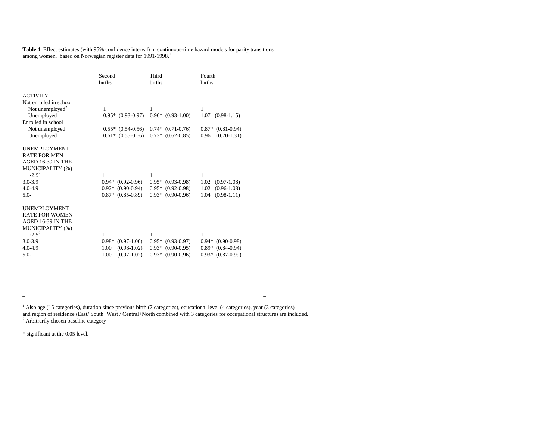**Table 4**. Effect estimates (with 95% confidence interval) in continuous-time hazard models for parity transitions among women, based on Norwegian register data for 1991-1998.<sup>1</sup>

|                             | Second                   | Third                 | Fourth                  |
|-----------------------------|--------------------------|-----------------------|-------------------------|
|                             | births                   | births                | <b>births</b>           |
|                             |                          |                       |                         |
| <b>ACTIVITY</b>             |                          |                       |                         |
| Not enrolled in school      |                          |                       |                         |
| Not unemployed <sup>2</sup> | 1                        | 1                     | 1                       |
| Unemployed                  | $0.95*$ $(0.93-0.97)$    | $0.96*$ $(0.93-1.00)$ | 1.07<br>$(0.98-1.15)$   |
| Enrolled in school          |                          |                       |                         |
| Not unemployed              | $0.55*$ $(0.54-0.56)$    | $0.74*(0.71-0.76)$    | $0.87*$ $(0.81-0.94)$   |
| Unemployed                  | $0.61*$ $(0.55-0.66)$    | $0.73*$ $(0.62-0.85)$ | $(0.70 - 1.31)$<br>0.96 |
|                             |                          |                       |                         |
| <b>UNEMPLOYMENT</b>         |                          |                       |                         |
| <b>RATE FOR MEN</b>         |                          |                       |                         |
| AGED 16-39 IN THE           |                          |                       |                         |
| MUNICIPALITY (%)            |                          |                       |                         |
| $-2.9^{2}$                  | 1                        | 1                     | 1                       |
| $3.0 - 3.9$                 | $0.94*$ $(0.92-0.96)$    | $0.95*$ $(0.93-0.98)$ | 1.02<br>$(0.97-1.08)$   |
| $4.0 - 4.9$                 | $0.92*$ $(0.90-0.94)$    | $0.95*$ $(0.92-0.98)$ | 1.02<br>$(0.96-1.08)$   |
| $5.0-$                      | $0.87*$ $(0.85-0.89)$    | $0.93*$ $(0.90-0.96)$ | 1.04<br>$(0.98-1.11)$   |
|                             |                          |                       |                         |
| <b>UNEMPLOYMENT</b>         |                          |                       |                         |
| <b>RATE FOR WOMEN</b>       |                          |                       |                         |
| AGED 16-39 IN THE           |                          |                       |                         |
| MUNICIPALITY (%)            |                          |                       |                         |
| $-2.9^{2}$                  | 1                        | 1                     | 1                       |
| $3.0 - 3.9$                 | $(0.97-1.00)$<br>$0.98*$ | $0.95*$ $(0.93-0.97)$ | $0.94*$ $(0.90-0.98)$   |
| $4.0 - 4.9$                 | $(0.98-1.02)$<br>1.00    | $0.93*$ $(0.90-0.95)$ | $0.89*$ $(0.84-0.94)$   |
| $5.0-$                      | 1.00<br>$(0.97-1.02)$    | $0.93*$ $(0.90-0.96)$ | $0.93*$ $(0.87-0.99)$   |
|                             |                          |                       |                         |

<sup>1</sup> Also age (15 categories), duration since previous birth (7 categories), educational level (4 categories), year (3 categories) and region of residence (East/ South+West / Central+North combined with 3 categories for occupational structure) are included.<br><sup>2</sup> Arbitrarily chosen baseline category

\* significant at the 0.05 level.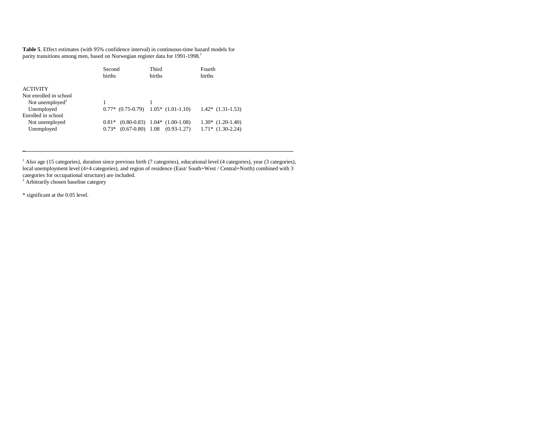**Table 5**. Effect estimates (with 95% confidence interval) in continuous-time hazard models for parity transitions among men, based on Norwegian register data for 1991-1998.<sup>1</sup>

|                             | Second        | Third                                       | Fourth                |  |
|-----------------------------|---------------|---------------------------------------------|-----------------------|--|
|                             | <b>births</b> | <b>births</b>                               | <b>births</b>         |  |
| <b>ACTIVITY</b>             |               |                                             |                       |  |
| Not enrolled in school      |               |                                             |                       |  |
| Not unemployed <sup>2</sup> |               |                                             |                       |  |
| Unemployed                  |               | $0.77*$ $(0.75-0.79)$ $1.05*$ $(1.01-1.10)$ | $1.42*$ $(1.31-1.53)$ |  |
| Enrolled in school          |               |                                             |                       |  |
| Not unemployed              | $0.81*$       | $(0.80-0.83)$ 1.04* $(1.00-1.08)$           | $1.30*$ $(1.20-1.40)$ |  |
| Unemployed                  | $0.73*$       | $(0.67-0.80)$ 1.08 $(0.93-1.27)$            | $1.71*$ $(1.30-2.24)$ |  |
|                             |               |                                             |                       |  |

<sup>1</sup> Also age (15 categories), duration since previous birth (7 categories), educational level (4 categories), year (3 categories), local unemployment level (4+4 categories), and region of residence (East/ South+West / Central+North) combined with 3 categories for occupational structure) are included. 2 Arbitrarily chosen baseline category

\* significant at the 0.05 level.

 $-$